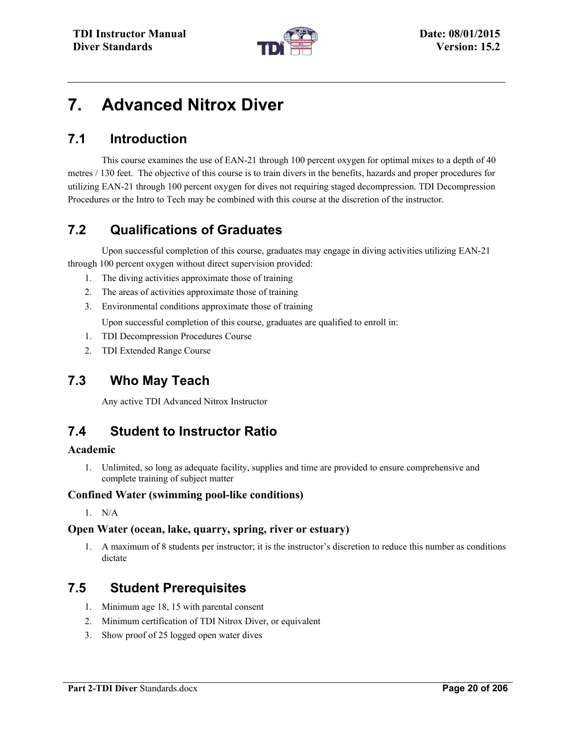

# **7. Advanced Nitrox Diver**

### **7.1 Introduction**

This course examines the use of EAN-21 through 100 percent oxygen for optimal mixes to a depth of 40 metres / 130 feet. The objective of this course is to train divers in the benefits, hazards and proper procedures for utilizing EAN-21 through 100 percent oxygen for dives not requiring staged decompression. TDI Decompression Procedures or the Intro to Tech may be combined with this course at the discretion of the instructor.

# **7.2 Qualifications of Graduates**

Upon successful completion of this course, graduates may engage in diving activities utilizing EAN-21 through 100 percent oxygen without direct supervision provided:

- 1. The diving activities approximate those of training
- 2. The areas of activities approximate those of training
- 3. Environmental conditions approximate those of training

Upon successful completion of this course, graduates are qualified to enroll in:

- 1. TDI Decompression Procedures Course
- 2. TDI Extended Range Course

### **7.3 Who May Teach**

Any active TDI Advanced Nitrox Instructor

### **7.4 Student to Instructor Ratio**

#### **Academic**

1. Unlimited, so long as adequate facility, supplies and time are provided to ensure comprehensive and complete training of subject matter

#### **Confined Water (swimming pool-like conditions)**

1. N/A

#### **Open Water (ocean, lake, quarry, spring, river or estuary)**

1. A maximum of 8 students per instructor; it is the instructor's discretion to reduce this number as conditions dictate

### **7.5 Student Prerequisites**

- 1. Minimum age 18, 15 with parental consent
- 2. Minimum certification of TDI Nitrox Diver, or equivalent
- 3. Show proof of 25 logged open water dives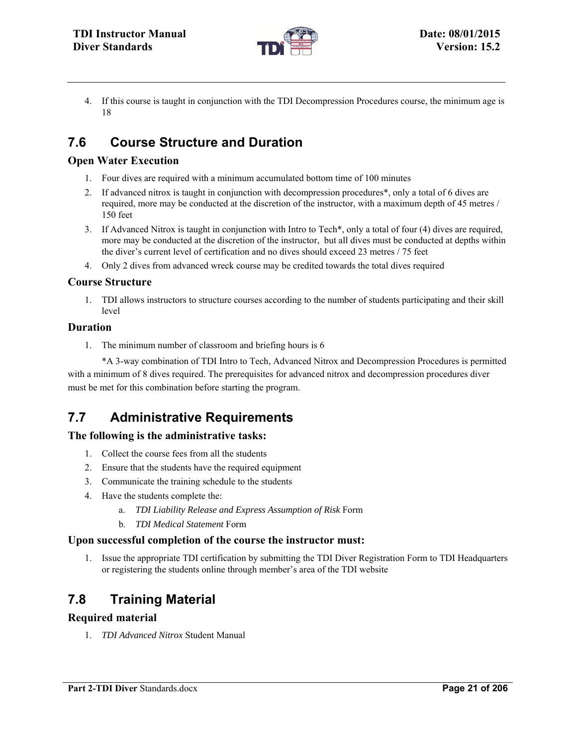

4. If this course is taught in conjunction with the TDI Decompression Procedures course, the minimum age is 18

# **7.6 Course Structure and Duration**

### **Open Water Execution**

- 1. Four dives are required with a minimum accumulated bottom time of 100 minutes
- 2. If advanced nitrox is taught in conjunction with decompression procedures\*, only a total of 6 dives are required, more may be conducted at the discretion of the instructor, with a maximum depth of 45 metres / 150 feet
- 3. If Advanced Nitrox is taught in conjunction with Intro to Tech\*, only a total of four (4) dives are required, more may be conducted at the discretion of the instructor, but all dives must be conducted at depths within the diver's current level of certification and no dives should exceed 23 metres / 75 feet
- 4. Only 2 dives from advanced wreck course may be credited towards the total dives required

### **Course Structure**

1. TDI allows instructors to structure courses according to the number of students participating and their skill level

### **Duration**

1. The minimum number of classroom and briefing hours is 6

\*A 3-way combination of TDI Intro to Tech, Advanced Nitrox and Decompression Procedures is permitted with a minimum of 8 dives required. The prerequisites for advanced nitrox and decompression procedures diver must be met for this combination before starting the program.

### **7.7 Administrative Requirements**

### **The following is the administrative tasks:**

- 1. Collect the course fees from all the students
- 2. Ensure that the students have the required equipment
- 3. Communicate the training schedule to the students
- 4. Have the students complete the:
	- a. *TDI Liability Release and Express Assumption of Risk* Form
	- b. *TDI Medical Statement* Form

### **Upon successful completion of the course the instructor must:**

1. Issue the appropriate TDI certification by submitting the TDI Diver Registration Form to TDI Headquarters or registering the students online through member's area of the TDI website

# **7.8 Training Material**

### **Required material**

1. *TDI Advanced Nitrox* Student Manual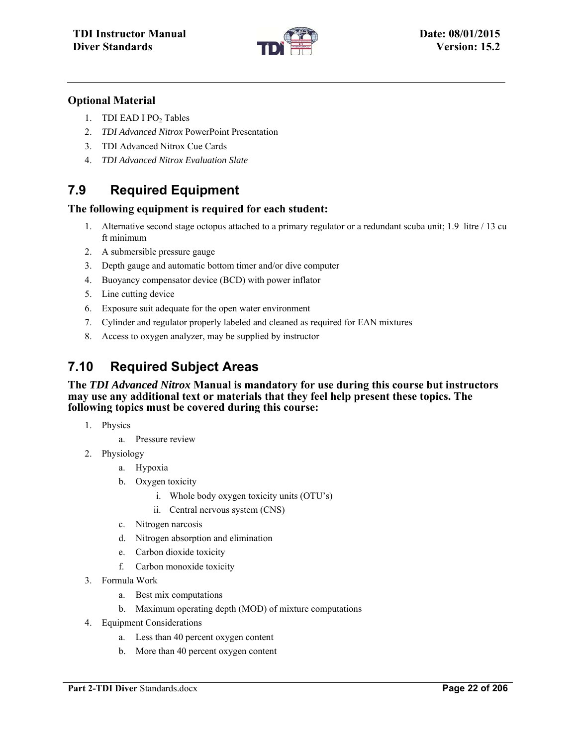

#### **Optional Material**

- 1. TDI EAD I PO<sub>2</sub> Tables
- 2. *TDI Advanced Nitrox* PowerPoint Presentation
- 3. TDI Advanced Nitrox Cue Cards
- 4. *TDI Advanced Nitrox Evaluation Slate*

### **7.9 Required Equipment**

#### **The following equipment is required for each student:**

- 1. Alternative second stage octopus attached to a primary regulator or a redundant scuba unit; 1.9 litre / 13 cu ft minimum
- 2. A submersible pressure gauge
- 3. Depth gauge and automatic bottom timer and/or dive computer
- 4. Buoyancy compensator device (BCD) with power inflator
- 5. Line cutting device
- 6. Exposure suit adequate for the open water environment
- 7. Cylinder and regulator properly labeled and cleaned as required for EAN mixtures
- 8. Access to oxygen analyzer, may be supplied by instructor

### **7.10 Required Subject Areas**

**The** *TDI Advanced Nitrox* **Manual is mandatory for use during this course but instructors may use any additional text or materials that they feel help present these topics. The following topics must be covered during this course:** 

- 1. Physics
	- a. Pressure review
- 2. Physiology
	- a. Hypoxia
	- b. Oxygen toxicity
		- i. Whole body oxygen toxicity units (OTU's)
		- ii. Central nervous system (CNS)
	- c. Nitrogen narcosis
	- d. Nitrogen absorption and elimination
	- e. Carbon dioxide toxicity
	- f. Carbon monoxide toxicity
- 3. Formula Work
	- a. Best mix computations
	- b. Maximum operating depth (MOD) of mixture computations
- 4. Equipment Considerations
	- a. Less than 40 percent oxygen content
	- b. More than 40 percent oxygen content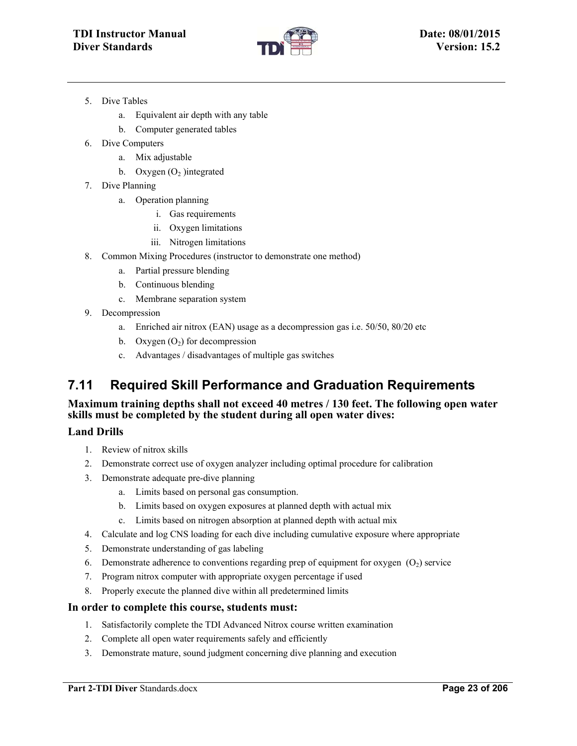

- 5. Dive Tables
	- a. Equivalent air depth with any table
	- b. Computer generated tables
- 6. Dive Computers
	- a. Mix adjustable
	- b. Oxygen  $(O_2)$  integrated
- 7. Dive Planning
	- a. Operation planning
		- i. Gas requirements
		- ii. Oxygen limitations
		- iii. Nitrogen limitations
- 8. Common Mixing Procedures (instructor to demonstrate one method)
	- a. Partial pressure blending
	- b. Continuous blending
	- c. Membrane separation system
- 9. Decompression
	- a. Enriched air nitrox (EAN) usage as a decompression gas i.e. 50/50, 80/20 etc
	- b. Oxygen  $(O<sub>2</sub>)$  for decompression
	- c. Advantages / disadvantages of multiple gas switches

### **7.11 Required Skill Performance and Graduation Requirements**

#### **Maximum training depths shall not exceed 40 metres / 130 feet. The following open water skills must be completed by the student during all open water dives:**

#### **Land Drills**

- 1. Review of nitrox skills
- 2. Demonstrate correct use of oxygen analyzer including optimal procedure for calibration
- 3. Demonstrate adequate pre-dive planning
	- a. Limits based on personal gas consumption.
	- b. Limits based on oxygen exposures at planned depth with actual mix
	- c. Limits based on nitrogen absorption at planned depth with actual mix
- 4. Calculate and log CNS loading for each dive including cumulative exposure where appropriate
- 5. Demonstrate understanding of gas labeling
- 6. Demonstrate adherence to conventions regarding prep of equipment for oxygen  $(O_2)$  service
- 7. Program nitrox computer with appropriate oxygen percentage if used
- 8. Properly execute the planned dive within all predetermined limits

#### **In order to complete this course, students must:**

- 1. Satisfactorily complete the TDI Advanced Nitrox course written examination
- 2. Complete all open water requirements safely and efficiently
- 3. Demonstrate mature, sound judgment concerning dive planning and execution